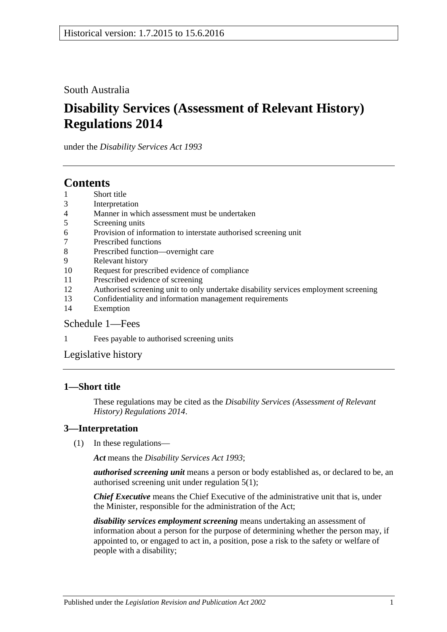South Australia

# **Disability Services (Assessment of Relevant History) Regulations 2014**

under the *Disability Services Act 1993*

# **Contents**

- 1 [Short title](#page-0-0)
- 3 [Interpretation](#page-0-1)
- 4 [Manner in which assessment must be undertaken](#page-1-0)
- 5 [Screening units](#page-1-1)
- 6 [Provision of information to interstate authorised screening unit](#page-1-2)
- 7 [Prescribed functions](#page-1-3)
- 8 [Prescribed function—overnight care](#page-2-0)
- 9 [Relevant history](#page-2-1)
- 10 [Request for prescribed evidence of compliance](#page-2-2)
- 11 [Prescribed evidence of screening](#page-3-0)
- 12 [Authorised screening unit to only undertake disability services employment screening](#page-3-1)
- 13 [Confidentiality and information management requirements](#page-3-2)
- 14 [Exemption](#page-4-0)

### [Schedule](#page-4-1) 1—Fees

1 Fees [payable to authorised screening units](#page-4-2)

[Legislative history](#page-6-0)

### <span id="page-0-0"></span>**1—Short title**

These regulations may be cited as the *Disability Services (Assessment of Relevant History) Regulations 2014*.

### <span id="page-0-1"></span>**3—Interpretation**

(1) In these regulations—

*Act* means the *[Disability Services Act](http://www.legislation.sa.gov.au/index.aspx?action=legref&type=act&legtitle=Disability%20Services%20Act%201993) 1993*;

*authorised screening unit* means a person or body established as, or declared to be, an authorised screening unit under [regulation](#page-1-4) 5(1);

*Chief Executive* means the Chief Executive of the administrative unit that is, under the Minister, responsible for the administration of the Act;

*disability services employment screening* means undertaking an assessment of information about a person for the purpose of determining whether the person may, if appointed to, or engaged to act in, a position, pose a risk to the safety or welfare of people with a disability;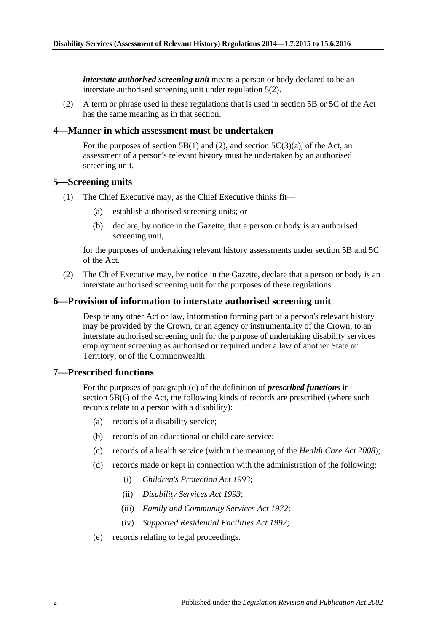*interstate authorised screening unit* means a person or body declared to be an interstate authorised screening unit under [regulation](#page-1-5) 5(2).

(2) A term or phrase used in these regulations that is used in section 5B or 5C of the Act has the same meaning as in that section.

#### <span id="page-1-0"></span>**4—Manner in which assessment must be undertaken**

For the purposes of section 5B(1) and (2), and section  $5C(3)(a)$ , of the Act, an assessment of a person's relevant history must be undertaken by an authorised screening unit.

#### <span id="page-1-4"></span><span id="page-1-1"></span>**5—Screening units**

- <span id="page-1-6"></span>(1) The Chief Executive may, as the Chief Executive thinks fit—
	- (a) establish authorised screening units; or
	- (b) declare, by notice in the Gazette, that a person or body is an authorised screening unit,

for the purposes of undertaking relevant history assessments under section 5B and 5C of the Act.

<span id="page-1-5"></span>(2) The Chief Executive may, by notice in the Gazette, declare that a person or body is an interstate authorised screening unit for the purposes of these regulations.

#### <span id="page-1-2"></span>**6—Provision of information to interstate authorised screening unit**

Despite any other Act or law, information forming part of a person's relevant history may be provided by the Crown, or an agency or instrumentality of the Crown, to an interstate authorised screening unit for the purpose of undertaking disability services employment screening as authorised or required under a law of another State or Territory, or of the Commonwealth.

#### <span id="page-1-3"></span>**7—Prescribed functions**

For the purposes of paragraph (c) of the definition of *prescribed functions* in section 5B(6) of the Act, the following kinds of records are prescribed (where such records relate to a person with a disability):

- (a) records of a disability service;
- (b) records of an educational or child care service;
- (c) records of a health service (within the meaning of the *[Health Care Act](http://www.legislation.sa.gov.au/index.aspx?action=legref&type=act&legtitle=Health%20Care%20Act%202008) 2008*);
- (d) records made or kept in connection with the administration of the following:
	- (i) *[Children's Protection Act](http://www.legislation.sa.gov.au/index.aspx?action=legref&type=act&legtitle=Childrens%20Protection%20Act%201993) 1993*;
	- (ii) *[Disability Services Act](http://www.legislation.sa.gov.au/index.aspx?action=legref&type=act&legtitle=Disability%20Services%20Act%201993) 1993*;
	- (iii) *Family [and Community Services Act](http://www.legislation.sa.gov.au/index.aspx?action=legref&type=act&legtitle=Family%20and%20Community%20Services%20Act%201972) 1972*;
	- (iv) *[Supported Residential Facilities Act](http://www.legislation.sa.gov.au/index.aspx?action=legref&type=act&legtitle=Supported%20Residential%20Facilities%20Act%201992) 1992*;
- (e) records relating to legal proceedings.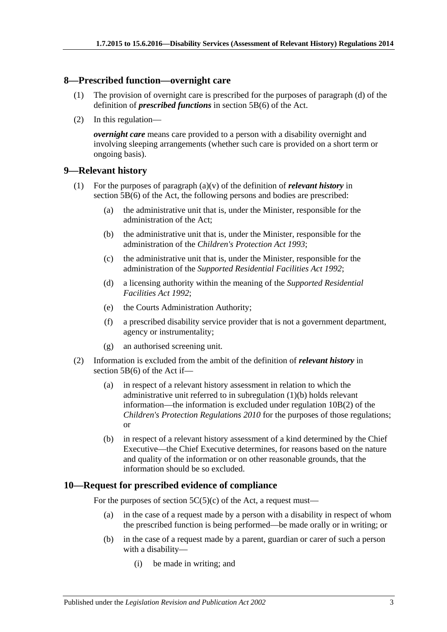#### <span id="page-2-0"></span>**8—Prescribed function—overnight care**

- (1) The provision of overnight care is prescribed for the purposes of paragraph (d) of the definition of *prescribed functions* in section 5B(6) of the Act.
- (2) In this regulation—

*overnight care* means care provided to a person with a disability overnight and involving sleeping arrangements (whether such care is provided on a short term or ongoing basis).

#### <span id="page-2-1"></span>**9—Relevant history**

- <span id="page-2-3"></span>(1) For the purposes of paragraph (a)(v) of the definition of *relevant history* in section 5B(6) of the Act, the following persons and bodies are prescribed:
	- (a) the administrative unit that is, under the Minister, responsible for the administration of the Act;
	- (b) the administrative unit that is, under the Minister, responsible for the administration of the *[Children's Protection Act](http://www.legislation.sa.gov.au/index.aspx?action=legref&type=act&legtitle=Childrens%20Protection%20Act%201993) 1993*;
	- (c) the administrative unit that is, under the Minister, responsible for the administration of the *[Supported Residential Facilities Act](http://www.legislation.sa.gov.au/index.aspx?action=legref&type=act&legtitle=Supported%20Residential%20Facilities%20Act%201992) 1992*;
	- (d) a licensing authority within the meaning of the *[Supported Residential](http://www.legislation.sa.gov.au/index.aspx?action=legref&type=act&legtitle=Supported%20Residential%20Facilities%20Act%201992)  [Facilities Act](http://www.legislation.sa.gov.au/index.aspx?action=legref&type=act&legtitle=Supported%20Residential%20Facilities%20Act%201992) 1992*;
	- (e) the Courts Administration Authority;
	- (f) a prescribed disability service provider that is not a government department, agency or instrumentality;
	- (g) an authorised screening unit.
- (2) Information is excluded from the ambit of the definition of *relevant history* in section 5B(6) of the Act if—
	- (a) in respect of a relevant history assessment in relation to which the administrative unit referred to in [subregulation](#page-2-3) (1)(b) holds relevant information—the information is excluded under regulation 10B(2) of the *[Children's Protection Regulations](http://www.legislation.sa.gov.au/index.aspx?action=legref&type=subordleg&legtitle=Childrens%20Protection%20Regulations%202010) 2010* for the purposes of those regulations; or
	- (b) in respect of a relevant history assessment of a kind determined by the Chief Executive—the Chief Executive determines, for reasons based on the nature and quality of the information or on other reasonable grounds, that the information should be so excluded.

#### <span id="page-2-2"></span>**10—Request for prescribed evidence of compliance**

For the purposes of section  $5C(5)(c)$  of the Act, a request must—

- (a) in the case of a request made by a person with a disability in respect of whom the prescribed function is being performed—be made orally or in writing; or
- (b) in the case of a request made by a parent, guardian or carer of such a person with a disability—
	- (i) be made in writing; and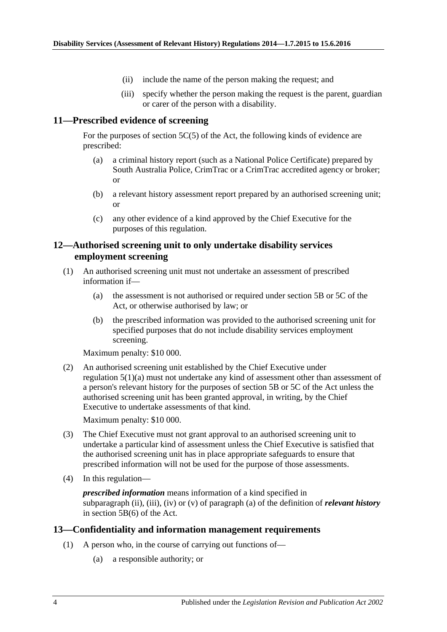- (ii) include the name of the person making the request; and
- (iii) specify whether the person making the request is the parent, guardian or carer of the person with a disability.

#### <span id="page-3-0"></span>**11—Prescribed evidence of screening**

For the purposes of section 5C(5) of the Act, the following kinds of evidence are prescribed:

- (a) a criminal history report (such as a National Police Certificate) prepared by South Australia Police, CrimTrac or a CrimTrac accredited agency or broker; or
- (b) a relevant history assessment report prepared by an authorised screening unit; or
- (c) any other evidence of a kind approved by the Chief Executive for the purposes of this regulation.

#### <span id="page-3-1"></span>**12—Authorised screening unit to only undertake disability services employment screening**

- (1) An authorised screening unit must not undertake an assessment of prescribed information if—
	- (a) the assessment is not authorised or required under section 5B or 5C of the Act, or otherwise authorised by law; or
	- (b) the prescribed information was provided to the authorised screening unit for specified purposes that do not include disability services employment screening.

Maximum penalty: \$10 000.

(2) An authorised screening unit established by the Chief Executive under [regulation](#page-1-6) 5(1)(a) must not undertake any kind of assessment other than assessment of a person's relevant history for the purposes of section 5B or 5C of the Act unless the authorised screening unit has been granted approval, in writing, by the Chief Executive to undertake assessments of that kind.

Maximum penalty: \$10 000.

- (3) The Chief Executive must not grant approval to an authorised screening unit to undertake a particular kind of assessment unless the Chief Executive is satisfied that the authorised screening unit has in place appropriate safeguards to ensure that prescribed information will not be used for the purpose of those assessments.
- (4) In this regulation—

*prescribed information* means information of a kind specified in subparagraph (ii), (iii), (iv) or (v) of paragraph (a) of the definition of *relevant history* in section 5B(6) of the Act.

#### <span id="page-3-2"></span>**13—Confidentiality and information management requirements**

- (1) A person who, in the course of carrying out functions of—
	- (a) a responsible authority; or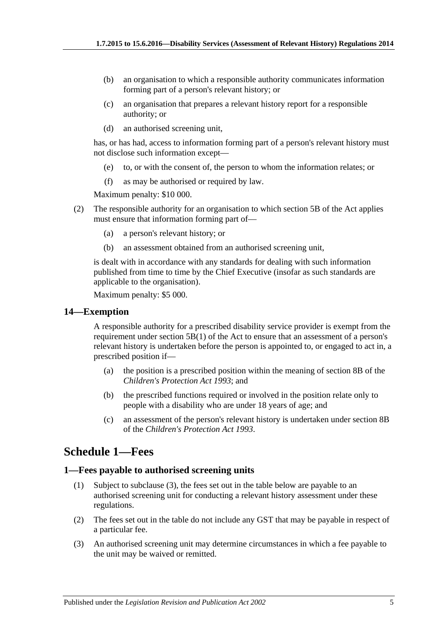- (b) an organisation to which a responsible authority communicates information forming part of a person's relevant history; or
- (c) an organisation that prepares a relevant history report for a responsible authority; or
- (d) an authorised screening unit,

has, or has had, access to information forming part of a person's relevant history must not disclose such information except—

- (e) to, or with the consent of, the person to whom the information relates; or
- (f) as may be authorised or required by law.

Maximum penalty: \$10 000.

- (2) The responsible authority for an organisation to which section 5B of the Act applies must ensure that information forming part of—
	- (a) a person's relevant history; or
	- (b) an assessment obtained from an authorised screening unit,

is dealt with in accordance with any standards for dealing with such information published from time to time by the Chief Executive (insofar as such standards are applicable to the organisation).

Maximum penalty: \$5 000.

#### <span id="page-4-0"></span>**14—Exemption**

A responsible authority for a prescribed disability service provider is exempt from the requirement under section 5B(1) of the Act to ensure that an assessment of a person's relevant history is undertaken before the person is appointed to, or engaged to act in, a prescribed position if—

- (a) the position is a prescribed position within the meaning of section 8B of the *[Children's Protection Act](http://www.legislation.sa.gov.au/index.aspx?action=legref&type=act&legtitle=Childrens%20Protection%20Act%201993) 1993*; and
- (b) the prescribed functions required or involved in the position relate only to people with a disability who are under 18 years of age; and
- (c) an assessment of the person's relevant history is undertaken under section 8B of the *[Children's Protection Act](http://www.legislation.sa.gov.au/index.aspx?action=legref&type=act&legtitle=Childrens%20Protection%20Act%201993) 1993*.

# <span id="page-4-1"></span>**Schedule 1—Fees**

#### <span id="page-4-2"></span>**1—Fees payable to authorised screening units**

- (1) Subject to [subclause](#page-4-3) (3), the fees set out in the table below are payable to an authorised screening unit for conducting a relevant history assessment under these regulations.
- (2) The fees set out in the table do not include any GST that may be payable in respect of a particular fee.
- <span id="page-4-3"></span>(3) An authorised screening unit may determine circumstances in which a fee payable to the unit may be waived or remitted.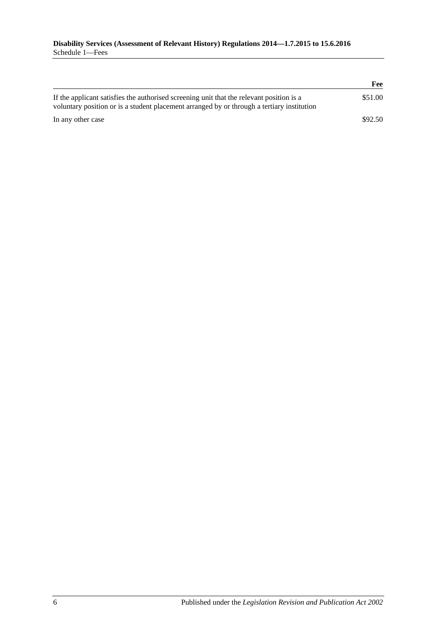|                                                                                                                                                                                        | Fee     |
|----------------------------------------------------------------------------------------------------------------------------------------------------------------------------------------|---------|
| If the applicant satisfies the authorised screening unit that the relevant position is a<br>voluntary position or is a student placement arranged by or through a tertiary institution | \$51.00 |
| In any other case                                                                                                                                                                      | \$92.50 |